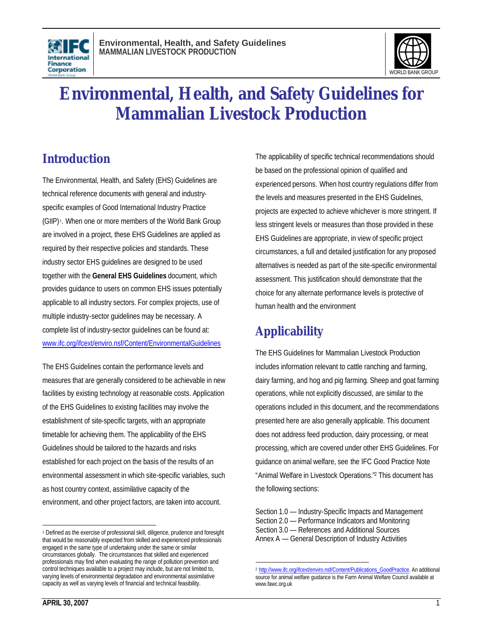



# **Environmental, Health, and Safety Guidelines for Mammalian Livestock Production**

# **Introduction**

The Environmental, Health, and Safety (EHS) Guidelines are technical reference documents with general and industryspecific examples of Good International Industry Practice (GIIP) <sup>1</sup> . When one or more members of the World Bank Group are involved in a project, these EHS Guidelines are applied as required by their respective policies and standards. These industry sector EHS guidelines are designed to be used together with the **General EHS Guidelines** document, which provides guidance to users on common EHS issues potentially applicable to all industry sectors. For complex projects, use of multiple industry-sector guidelines may be necessary. A complete list of industry-sector guidelines can be found at: www.ifc.org/ifcext/enviro.nsf/Content/EnvironmentalGuidelines

The EHS Guidelines contain the performance levels and measures that are generally considered to be achievable in new facilities by existing technology at reasonable costs. Application of the EHS Guidelines to existing facilities may involve the establishment of site-specific targets, with an appropriate timetable for achieving them. The applicability of the EHS Guidelines should be tailored to the hazards and risks established for each project on the basis of the results of an environmental assessment in which site-specific variables, such as host country context, assimilative capacity of the environment, and other project factors, are taken into account.

The applicability of specific technical recommendations should be based on the professional opinion of qualified and experienced persons. When host country regulations differ from the levels and measures presented in the EHS Guidelines, projects are expected to achieve whichever is more stringent. If less stringent levels or measures than those provided in these EHS Guidelines are appropriate, in view of specific project circumstances, a full and detailed justification for any proposed alternatives is needed as part of the site-specific environmental assessment. This justification should demonstrate that the choice for any alternate performance levels is protective of human health and the environment

# **Applicability**

The EHS Guidelines for Mammalian Livestock Production includes information relevant to cattle ranching and farming, dairy farming, and hog and pig farming. Sheep and goat farming operations, while not explicitly discussed, are similar to the operations included in this document, and the recommendations presented here are also generally applicable. This document does not address feed production, dairy processing, or meat processing, which are covered under other EHS Guidelines. For guidance on animal welfare, see the IFC Good Practice Note "Animal Welfare in Livestock Operations."<sup>2</sup> This document has the following sections:

Section 1.0 — Industry-Specific Impacts and Management Section 2.0 — Performance Indicators and Monitoring Section 3.0 — References and Additional Sources Annex A — General Description of Industry Activities

 $\overline{a}$ <sup>1</sup> Defined as the exercise of professional skill, diligence, prudence and foresight that would be reasonably expected from skilled and experienced professionals engaged in the same type of undertaking under the same or similar circumstances globally. The circumstances that skilled and experienced professionals may find when evaluating the range of pollution prevention and control techniques available to a project may include, but are not limited to, varying levels of environmental degradation and environmental assimilative capacity as well as varying levels of financial and technical feasibility.

<sup>1</sup> <sup>2</sup> http://www.ifc.org/ifcext/enviro.nsf/Content/Publications\_GoodPractice. An additional source for animal welfare guidance is the Farm Animal Welfare Council available at www.fawc.org.uk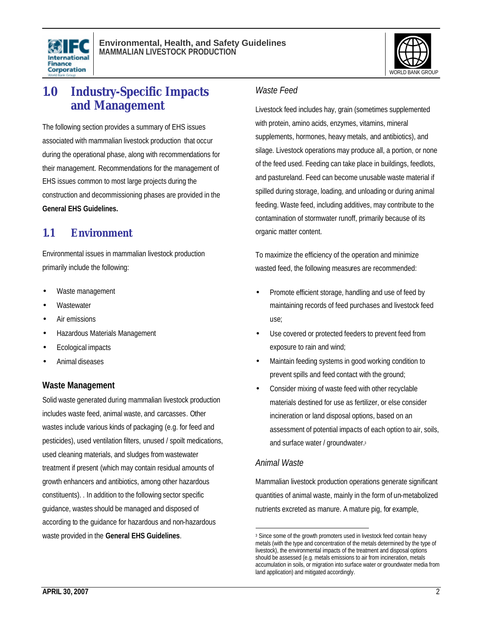



# **1.0 Industry-Specific Impacts and Management**

The following section provides a summary of EHS issues associated with mammalian livestock production that occur during the operational phase, along with recommendations for their management. Recommendations for the management of EHS issues common to most large projects during the construction and decommissioning phases are provided in the **General EHS Guidelines.**

# **1.1 Environment**

Environmental issues in mammalian livestock production primarily include the following:

- Waste management
- **Wastewater**
- Air emissions
- Hazardous Materials Management
- Ecological impacts
- Animal diseases

#### **Waste Management**

Solid waste generated during mammalian livestock production includes waste feed, animal waste, and carcasses. Other wastes include various kinds of packaging (e.g. for feed and pesticides), used ventilation filters, unused / spoilt medications, used cleaning materials, and sludges from wastewater treatment if present (which may contain residual amounts of growth enhancers and antibiotics, among other hazardous constituents). . In addition to the following sector specific guidance, wastes should be managed and disposed of according to the guidance for hazardous and non-hazardous waste provided in the **General EHS Guidelines**.

#### *Waste Feed*

Livestock feed includes hay, grain (sometimes supplemented with protein, amino acids, enzymes, vitamins, mineral supplements, hormones, heavy metals, and antibiotics), and silage. Livestock operations may produce all, a portion, or none of the feed used. Feeding can take place in buildings, feedlots, and pastureland. Feed can become unusable waste material if spilled during storage, loading, and unloading or during animal feeding. Waste feed, including additives, may contribute to the contamination of stormwater runoff, primarily because of its organic matter content.

To maximize the efficiency of the operation and minimize wasted feed, the following measures are recommended:

- Promote efficient storage, handling and use of feed by maintaining records of feed purchases and livestock feed use;
- Use covered or protected feeders to prevent feed from exposure to rain and wind;
- Maintain feeding systems in good working condition to prevent spills and feed contact with the ground;
- Consider mixing of waste feed with other recyclable materials destined for use as fertilizer, or else consider incineration or land disposal options, based on an assessment of potential impacts of each option to air, soils, and surface water / groundwater.<sup>3</sup>

#### *Animal Waste*

Mammalian livestock production operations generate significant quantities of animal waste, mainly in the form of un-metabolized nutrients excreted as manure. A mature pig, for example,

<sup>&</sup>lt;sup>3</sup> Since some of the growth promoters used in livestock feed contain heavy metals (with the type and concentration of the metals determined by the type of livestock), the environmental impacts of the treatment and disposal options should be assessed (e.g. metals emissions to air from incineration, metals accumulation in soils, or migration into surface water or groundwater media from land application) and mitigated accordingly.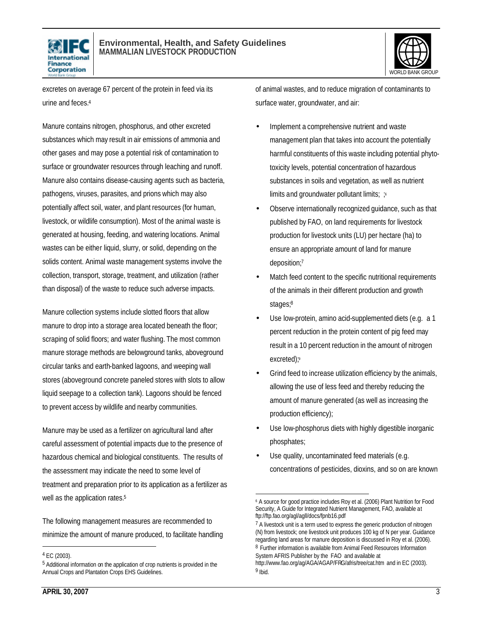



excretes on average 67 percent of the protein in feed via its urine and feces.<sup>4</sup>

Manure contains nitrogen, phosphorus, and other excreted substances which may result in air emissions of ammonia and other gases and may pose a potential risk of contamination to surface or groundwater resources through leaching and runoff. Manure also contains disease-causing agents such as bacteria, pathogens, viruses, parasites, and prions which may also potentially affect soil, water, and plant resources (for human, livestock, or wildlife consumption). Most of the animal waste is generated at housing, feeding, and watering locations. Animal wastes can be either liquid, slurry, or solid, depending on the solids content. Animal waste management systems involve the collection, transport, storage, treatment, and utilization (rather than disposal) of the waste to reduce such adverse impacts.

Manure collection systems include slotted floors that allow manure to drop into a storage area located beneath the floor; scraping of solid floors; and water flushing. The most common manure storage methods are belowground tanks, aboveground circular tanks and earth-banked lagoons, and weeping wall stores (aboveground concrete paneled stores with slots to allow liquid seepage to a collection tank). Lagoons should be fenced to prevent access by wildlife and nearby communities.

Manure may be used as a fertilizer on agricultural land after careful assessment of potential impacts due to the presence of hazardous chemical and biological constituents. The results of the assessment may indicate the need to some level of treatment and preparation prior to its application as a fertilizer as well as the application rates.<sup>5</sup>

The following management measures are recommended to minimize the amount of manure produced, to facilitate handling

 $\overline{a}$ 

of animal wastes, and to reduce migration of contaminants to surface water, groundwater, and air:

- Implement a comprehensive nutrient and waste management plan that takes into account the potentially harmful constituents of this waste including potential phytotoxicity levels, potential concentration of hazardous substances in soils and vegetation, as well as nutrient limits and groundwater pollutant limits;  $\phi$
- Observe internationally recognized guidance, such as that published by FAO, on land requirements for livestock production for livestock units (LU) per hectare (ha) to ensure an appropriate amount of land for manure deposition;<sup>7</sup>
- Match feed content to the specific nutritional requirements of the animals in their different production and growth stages;<sup>8</sup>
- Use low-protein, amino acid-supplemented diets (e.g. a 1 percent reduction in the protein content of pig feed may result in a 10 percent reduction in the amount of nitrogen excreted);9
- Grind feed to increase utilization efficiency by the animals, allowing the use of less feed and thereby reducing the amount of manure generated (as well as increasing the production efficiency);
- Use low-phosphorus diets with highly digestible inorganic phosphates;
- Use quality, uncontaminated feed materials (e.g. concentrations of pesticides, dioxins, and so on are known

<sup>4</sup> EC (2003).

<sup>&</sup>lt;sup>5</sup> Additional information on the application of crop nutrients is provided in the Annual Crops and Plantation Crops EHS Guidelines.

<sup>1</sup> 6 A source for good practice includes Roy et al. (2006) Plant Nutrition for Food Security, A Guide for Integrated Nutrient Management, FAO, available at ftp://ftp.fao.org/agl/agll/docs/fpnb16.pdf

<sup>&</sup>lt;sup>7</sup> A livestock unit is a term used to express the generic production of nitrogen (N) from livestock; one livestock unit produces 100 kg of N per year. Guidance regarding land areas for manure deposition is discussed in Roy et al. (2006).

<sup>&</sup>lt;sup>8</sup> Further information is available from Animal Feed Resources Information System AFRIS Publisher by the FAO and available at http://www.fao.org/ag/AGA/AGAP/FRG/afris/tree/cat.htm and in EC (2003).

<sup>&</sup>lt;sup>9</sup> Ibid.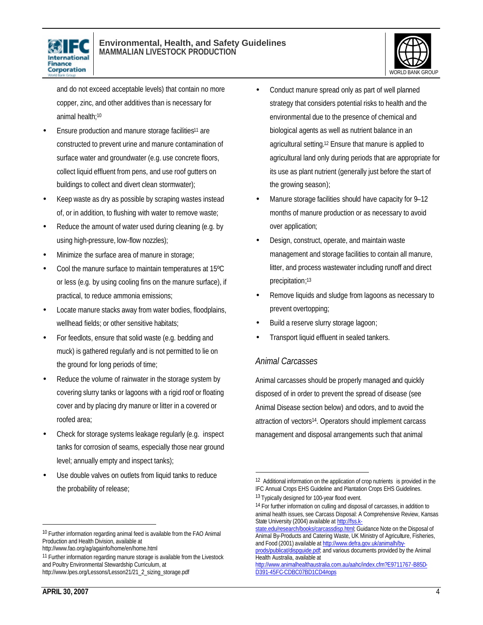



and do not exceed acceptable levels) that contain no more copper, zinc, and other additives than is necessary for animal health;<sup>10</sup>

- Ensure production and manure storage facilities<sup>11</sup> are constructed to prevent urine and manure contamination of surface water and groundwater (e.g. use concrete floors, collect liquid effluent from pens, and use roof gutters on buildings to collect and divert clean stormwater);
- Keep waste as dry as possible by scraping wastes instead of, or in addition, to flushing with water to remove waste;
- Reduce the amount of water used during cleaning (e.g. by using high-pressure, low-flow nozzles);
- Minimize the surface area of manure in storage;
- Cool the manure surface to maintain temperatures at 15ºC or less (e.g. by using cooling fins on the manure surface), if practical, to reduce ammonia emissions;
- Locate manure stacks away from water bodies, floodplains, wellhead fields; or other sensitive habitats;
- For feedlots, ensure that solid waste (e.g. bedding and muck) is gathered regularly and is not permitted to lie on the ground for long periods of time;
- Reduce the volume of rainwater in the storage system by covering slurry tanks or lagoons with a rigid roof or floating cover and by placing dry manure or litter in a covered or roofed area;
- Check for storage systems leakage regularly (e.g. inspect tanks for corrosion of seams, especially those near ground level; annually empty and inspect tanks);
- Use double valves on outlets from liquid tanks to reduce the probability of release;
- Conduct manure spread only as part of well planned strategy that considers potential risks to health and the environmental due to the presence of chemical and biological agents as well as nutrient balance in an agricultural setting. <sup>12</sup> Ensure that manure is applied to agricultural land only during periods that are appropriate for its use as plant nutrient (generally just before the start of the growing season);
- Manure storage facilities should have capacity for 9-12 months of manure production or as necessary to avoid over application;
- Design, construct, operate, and maintain waste management and storage facilities to contain all manure, litter, and process wastewater including runoff and direct precipitation; 13
- Remove liquids and sludge from lagoons as necessary to prevent overtopping;
- Build a reserve slurry storage lagoon;
- Transport liquid effluent in sealed tankers.

#### *Animal Carcasses*

l

Animal carcasses should be properly managed and quickly disposed of in order to prevent the spread of disease (see Animal Disease section below) and odors, and to avoid the attraction of vectors<sup>14</sup> . Operators should implement carcass management and disposal arrangements such that animal

<sup>&</sup>lt;sup>10</sup> Further information regarding animal feed is available from the FAO Animal Production and Health Division, available at

http://www.fao.org/ag/againfo/home/en/home.html

<sup>&</sup>lt;sup>11</sup> Further information regarding manure storage is available from the Livestock and Poultry Environmental Stewardship Curriculum, at http://www.lpes.org/Lessons/Lesson21/21\_2\_sizing\_storage.pdf

<sup>&</sup>lt;sup>12</sup> Additional information on the application of crop nutrients is provided in the IFC Annual Crops EHS Guideline and Plantation Crops EHS Guidelines.

<sup>&</sup>lt;sup>13</sup> Typically designed for 100-year flood event.

<sup>&</sup>lt;sup>14</sup> For further information on culling and disposal of carcasses, in addition to animal health issues, see Carcass Disposal: A Comprehensive Review, Kansas State University (2004) available at http://fss.k-

state.edu/research/books/carcassdisp.html; Guidance Note on the Disposal of Animal By-Products and Catering Waste, UK Ministry of Agriculture, Fisheries, and Food (2001) available at http://www.defra.gov.uk/animalh/by-

prods/publicat/dispguide.pdf; and various documents provided by the Animal Health Australia, available at

http://www.animalhealthaustralia.com.au/aahc/index.cfm?E9711767-B85D-D391-45FC-CDBC07BD1CD4#ops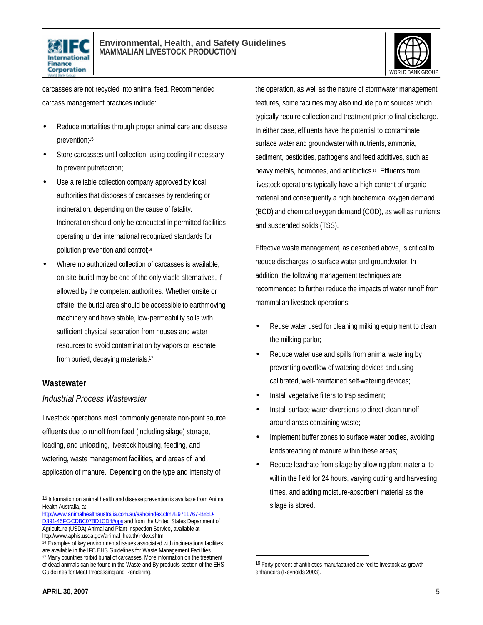



carcasses are not recycled into animal feed. Recommended carcass management practices include:

- Reduce mortalities through proper animal care and disease prevention;<sup>15</sup>
- Store carcasses until collection, using cooling if necessary to prevent putrefaction;
- Use a reliable collection company approved by local authorities that disposes of carcasses by rendering or incineration, depending on the cause of fatality. Incineration should only be conducted in permitted facilities operating under international recognized standards for pollution prevention and control;<sup>16</sup>
- Where no authorized collection of carcasses is available, on-site burial may be one of the only viable alternatives, if allowed by the competent authorities. Whether onsite or offsite, the burial area should be accessible to earthmoving machinery and have stable, low-permeability soils with sufficient physical separation from houses and water resources to avoid contamination by vapors or leachate from buried, decaying materials.<sup>17</sup>

#### **Wastewater**

 $\overline{a}$ 

#### *Industrial Process Wastewater*

Livestock operations most commonly generate non-point source effluents due to runoff from feed (including silage) storage, loading, and unloading, livestock housing, feeding, and watering, waste management facilities, and areas of land application of manure. Depending on the type and intensity of

<sup>16</sup> Examples of key environmental issues associated with incinerations facilities are available in the IFC EHS Guidelines for Waste Management Facilities. <sup>17</sup> Many countries forbid burial of carcasses. More information on the treatment the operation, as well as the nature of stormwater management features, some facilities may also include point sources which typically require collection and treatment prior to final discharge. In either case, effluents have the potential to contaminate surface water and groundwater with nutrients, ammonia, sediment, pesticides, pathogens and feed additives, such as heavy metals, hormones, and antibiotics.18 Effluents from livestock operations typically have a high content of organic material and consequently a high biochemical oxygen demand (BOD) and chemical oxygen demand (COD), as well as nutrients and suspended solids (TSS).

Effective waste management, as described above, is critical to reduce discharges to surface water and groundwater. In addition, the following management techniques are recommended to further reduce the impacts of water runoff from mammalian livestock operations:

- Reuse water used for cleaning milking equipment to clean the milking parlor;
- Reduce water use and spills from animal watering by preventing overflow of watering devices and using calibrated, well-maintained self-watering devices;
- Install vegetative filters to trap sediment;
- Install surface water diversions to direct clean runoff around areas containing waste;
- Implement buffer zones to surface water bodies, avoiding landspreading of manure within these areas;
- Reduce leachate from silage by allowing plant material to wilt in the field for 24 hours, varying cutting and harvesting times, and adding moisture-absorbent material as the silage is stored.

<sup>15</sup> Information on animal health and disease prevention is available from Animal Health Australia, at

http://www.animalhealthaustralia.com.au/aahc/index.cfm?E9711767-B85D-D391-45FC-CDBC07BD1CD4#ops and from the United States Department of Agriculture (USDA) Animal and Plant Inspection Service, available at http://www.aphis.usda.gov/animal\_health/index.shtml

of dead animals can be found in the Waste and By-products section of the EHS Guidelines for Meat Processing and Rendering.

<sup>&</sup>lt;sup>18</sup> Forty percent of antibiotics manufactured are fed to livestock as growth enhancers (Reynolds 2003).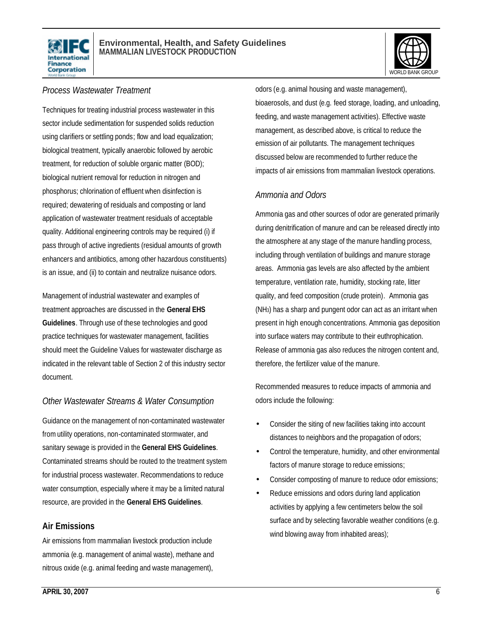



#### *Process Wastewater Treatment*

Techniques for treating industrial process wastewater in this sector include sedimentation for suspended solids reduction using clarifiers or settling ponds; flow and load equalization; biological treatment, typically anaerobic followed by aerobic treatment, for reduction of soluble organic matter (BOD); biological nutrient removal for reduction in nitrogen and phosphorus; chlorination of effluent when disinfection is required; dewatering of residuals and composting or land application of wastewater treatment residuals of acceptable quality. Additional engineering controls may be required (i) if pass through of active ingredients (residual amounts of growth enhancers and antibiotics, among other hazardous constituents) is an issue, and (ii) to contain and neutralize nuisance odors.

Management of industrial wastewater and examples of treatment approaches are discussed in the **General EHS Guidelines**. Through use of these technologies and good practice techniques for wastewater management, facilities should meet the Guideline Values for wastewater discharge as indicated in the relevant table of Section 2 of this industry sector document.

#### *Other Wastewater Streams & Water Consumption*

Guidance on the management of non-contaminated wastewater from utility operations, non-contaminated stormwater, and sanitary sewage is provided in the **General EHS Guidelines**. Contaminated streams should be routed to the treatment system for industrial process wastewater. Recommendations to reduce water consumption, especially where it may be a limited natural resource, are provided in the **General EHS Guidelines**.

# **Air Emissions**

Air emissions from mammalian livestock production include ammonia (e.g. management of animal waste), methane and nitrous oxide (e.g. animal feeding and waste management),

odors (e.g. animal housing and waste management), bioaerosols, and dust (e.g. feed storage, loading, and unloading, feeding, and waste management activities). Effective waste management, as described above, is critical to reduce the emission of air pollutants. The management techniques discussed below are recommended to further reduce the impacts of air emissions from mammalian livestock operations.

### *Ammonia and Odors*

Ammonia gas and other sources of odor are generated primarily during denitrification of manure and can be released directly into the atmosphere at any stage of the manure handling process, including through ventilation of buildings and manure storage areas. Ammonia gas levels are also affected by the ambient temperature, ventilation rate, humidity, stocking rate, litter quality, and feed composition (crude protein). Ammonia gas (NH3) has a sharp and pungent odor can act as an irritant when present in high enough concentrations. Ammonia gas deposition into surface waters may contribute to their euthrophication. Release of ammonia gas also reduces the nitrogen content and, therefore, the fertilizer value of the manure.

Recommended measures to reduce impacts of ammonia and odors include the following:

- Consider the siting of new facilities taking into account distances to neighbors and the propagation of odors;
- Control the temperature, humidity, and other environmental factors of manure storage to reduce emissions;
- Consider composting of manure to reduce odor emissions;
- Reduce emissions and odors during land application activities by applying a few centimeters below the soil surface and by selecting favorable weather conditions (e.g. wind blowing away from inhabited areas);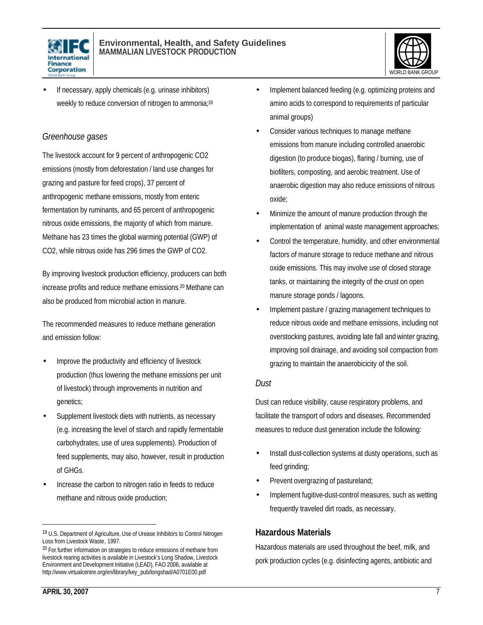



If necessary, apply chemicals (e.g. urinase inhibitors) weekly to reduce conversion of nitrogen to ammonia;<sup>19</sup>

#### *Greenhouse gases*

The livestock account for 9 percent of anthropogenic CO2 emissions (mostly from deforestation / land use changes for grazing and pasture for feed crops), 37 percent of anthropogenic methane emissions, mostly from enteric fermentation by ruminants, and 65 percent of anthropogenic nitrous oxide emissions, the majority of which from manure. Methane has 23 times the global warming potential (GWP) of CO2, while nitrous oxide has 296 times the GWP of CO2.

By improving livestock production efficiency, producers can both increase profits and reduce methane emissions.20 Methane can also be produced from microbial action in manure.

The recommended measures to reduce methane generation and emission follow:

- Improve the productivity and efficiency of livestock production (thus lowering the methane emissions per unit of livestock) through improvements in nutrition and genetics;
- Supplement livestock diets with nutrients, as necessary (e.g. increasing the level of starch and rapidly fermentable carbohydrates, use of urea supplements). Production of feed supplements, may also, however, result in production of GHGs.
- Increase the carbon to nitrogen ratio in feeds to reduce methane and nitrous oxide production;
- Implement balanced feeding (e.g. optimizing proteins and amino acids to correspond to requirements of particular animal groups)
- Consider various techniques to manage methane emissions from manure including controlled anaerobic digestion (to produce biogas), flaring / burning, use of biofilters, composting, and aerobic treatment. Use of anaerobic digestion may also reduce emissions of nitrous oxide;
- Minimize the amount of manure production through the implementation of animal waste management approaches;
- Control the temperature, humidity, and other environmental factors of manure storage to reduce methane and nitrous oxide emissions. This may involve use of closed storage tanks, or maintaining the integrity of the crust on open manure storage ponds / lagoons.
- Implement pasture / grazing management techniques to reduce nitrous oxide and methane emissions, including not overstocking pastures, avoiding late fall and winter grazing, improving soil drainage, and avoiding soil compaction from grazing to maintain the anaerobicicity of the soil.

#### *Dust*

Dust can reduce visibility, cause respiratory problems, and facilitate the transport of odors and diseases. Recommended measures to reduce dust generation include the following:

- Install dust-collection systems at dusty operations, such as feed grinding;
- Prevent overgrazing of pastureland;
- Implement fugitive-dust-control measures, such as wetting frequently traveled dirt roads, as necessary.

#### **Hazardous Materials**

Hazardous materials are used throughout the beef, milk, and pork production cycles (e.g. disinfecting agents, antibiotic and

<sup>19</sup> U.S. Department of Agriculture, Use of Urease Inhibitors to Control Nitrogen Loss from Livestock Waste, 1997.

<sup>&</sup>lt;sup>20</sup> For further information on strategies to reduce emissions of methane from livestock rearing activities is available in Livestock's Long Shadow, Livestock Environment and Development Initiative (LEAD), FAO 2006, available at http://www.virtualcentre.org/en/library/key\_pub/longshad/A0701E00.pdf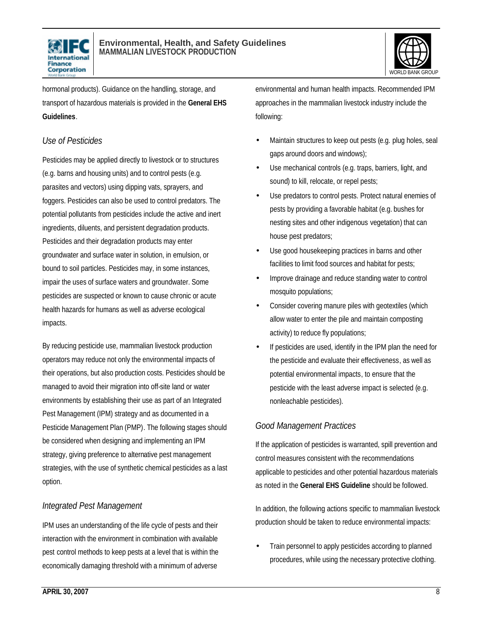



hormonal products). Guidance on the handling, storage, and transport of hazardous materials is provided in the **General EHS Guidelines**.

# *Use of Pesticides*

Pesticides may be applied directly to livestock or to structures (e.g. barns and housing units) and to control pests (e.g. parasites and vectors) using dipping vats, sprayers, and foggers. Pesticides can also be used to control predators. The potential pollutants from pesticides include the active and inert ingredients, diluents, and persistent degradation products. Pesticides and their degradation products may enter groundwater and surface water in solution, in emulsion, or bound to soil particles. Pesticides may, in some instances, impair the uses of surface waters and groundwater. Some pesticides are suspected or known to cause chronic or acute health hazards for humans as well as adverse ecological impacts.

By reducing pesticide use, mammalian livestock production operators may reduce not only the environmental impacts of their operations, but also production costs. Pesticides should be managed to avoid their migration into off-site land or water environments by establishing their use as part of an Integrated Pest Management (IPM) strategy and as documented in a Pesticide Management Plan (PMP). The following stages should be considered when designing and implementing an IPM strategy, giving preference to alternative pest management strategies, with the use of synthetic chemical pesticides as a last option.

# *Integrated Pest Management*

IPM uses an understanding of the life cycle of pests and their interaction with the environment in combination with available pest control methods to keep pests at a level that is within the economically damaging threshold with a minimum of adverse

environmental and human health impacts. Recommended IPM approaches in the mammalian livestock industry include the following:

- Maintain structures to keep out pests (e.g. plug holes, seal gaps around doors and windows);
- Use mechanical controls (e.g. traps, barriers, light, and sound) to kill, relocate, or repel pests;
- Use predators to control pests. Protect natural enemies of pests by providing a favorable habitat (e.g. bushes for nesting sites and other indigenous vegetation) that can house pest predators;
- Use good housekeeping practices in barns and other facilities to limit food sources and habitat for pests;
- Improve drainage and reduce standing water to control mosquito populations;
- Consider covering manure piles with geotextiles (which allow water to enter the pile and maintain composting activity) to reduce fly populations;
- If pesticides are used, identify in the IPM plan the need for the pesticide and evaluate their effectiveness, as well as potential environmental impacts, to ensure that the pesticide with the least adverse impact is selected (e.g. nonleachable pesticides).

# *Good Management Practices*

If the application of pesticides is warranted, spill prevention and control measures consistent with the recommendations applicable to pesticides and other potential hazardous materials as noted in the **General EHS Guideline** should be followed.

In addition, the following actions specific to mammalian livestock production should be taken to reduce environmental impacts:

• Train personnel to apply pesticides according to planned procedures, while using the necessary protective clothing.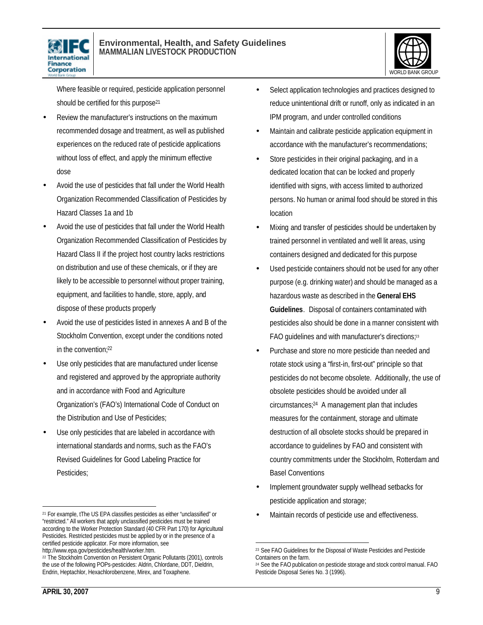



Where feasible or required, pesticide application personnel should be certified for this purpose<sup>21</sup>

- Review the manufacturer's instructions on the maximum recommended dosage and treatment, as well as published experiences on the reduced rate of pesticide applications without loss of effect, and apply the minimum effective dose
- Avoid the use of pesticides that fall under the World Health Organization Recommended Classification of Pesticides by Hazard Classes 1a and 1b
- Avoid the use of pesticides that fall under the World Health Organization Recommended Classification of Pesticides by Hazard Class II if the project host country lacks restrictions on distribution and use of these chemicals, or if they are likely to be accessible to personnel without proper training, equipment, and facilities to handle, store, apply, and dispose of these products properly
- Avoid the use of pesticides listed in annexes A and B of the Stockholm Convention, except under the conditions noted in the convention;<sup>22</sup>
- Use only pesticides that are manufactured under license and registered and approved by the appropriate authority and in accordance with Food and Agriculture Organization's (FAO's) International Code of Conduct on the Distribution and Use of Pesticides;
- Use only pesticides that are labeled in accordance with international standards and norms, such as the FAO's Revised Guidelines for Good Labeling Practice for Pesticides;
- Select application technologies and practices designed to reduce unintentional drift or runoff, only as indicated in an IPM program, and under controlled conditions
- Maintain and calibrate pesticide application equipment in accordance with the manufacturer's recommendations;
- Store pesticides in their original packaging, and in a dedicated location that can be locked and properly identified with signs, with access limited to authorized persons. No human or animal food should be stored in this location
- Mixing and transfer of pesticides should be undertaken by trained personnel in ventilated and well lit areas, using containers designed and dedicated for this purpose
- Used pesticide containers should not be used for any other purpose (e.g. drinking water) and should be managed as a hazardous waste as described in the **General EHS Guidelines**. Disposal of containers contaminated with pesticides also should be done in a manner consistent with FAO guidelines and with manufacturer's directions;<sup>23</sup>
- Purchase and store no more pesticide than needed and rotate stock using a "first-in, first-out" principle so that pesticides do not become obsolete. Additionally, the use of obsolete pesticides should be avoided under all circumstances;<sup>24</sup> A management plan that includes measures for the containment, storage and ultimate destruction of all obsolete stocks should be prepared in accordance to guidelines by FAO and consistent with country commitments under the Stockholm, Rotterdam and Basel Conventions
- Implement groundwater supply wellhead setbacks for pesticide application and storage;
- Maintain records of pesticide use and effectiveness.

 $\overline{a}$ <sup>21</sup> For example, tThe US EPA classifies pesticides as either "unclassified" or "restricted." All workers that apply unclassified pesticides must be trained according to the Worker Protection Standard (40 CFR Part 170) for Agricultural Pesticides. Restricted pesticides must be applied by or in the presence of a certified pesticide applicator. For more information, see http://www.epa.gov/pesticides/health/worker.htm.

<sup>22</sup> The Stockholm Convention on Persistent Organic Pollutants (2001), controls the use of the following POPs-pesticides: Aldrin, Chlordane, DDT, Dieldrin, Endrin, Heptachlor, Hexachlorobenzene, Mirex, and Toxaphene.

<sup>&</sup>lt;u>.</u> <sup>23</sup> See FAO Guidelines for the Disposal of Waste Pesticides and Pesticide Containers on the farm.

<sup>&</sup>lt;sup>24</sup> See the FAO publication on pesticide storage and stock control manual. FAO Pesticide Disposal Series No. 3 (1996).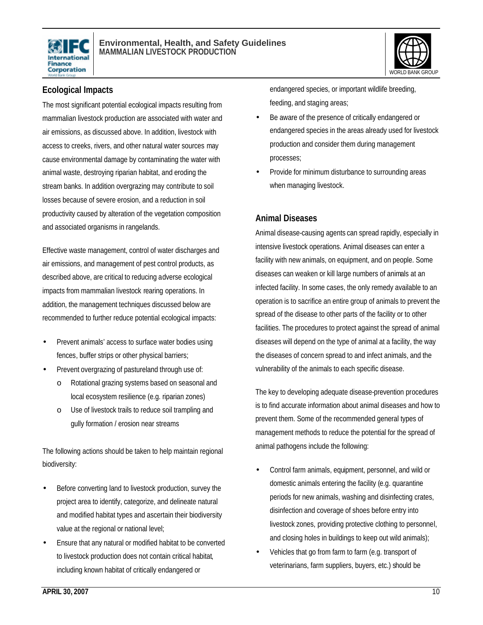



# **Ecological Impacts**

The most significant potential ecological impacts resulting from mammalian livestock production are associated with water and air emissions, as discussed above. In addition, livestock with access to creeks, rivers, and other natural water sources may cause environmental damage by contaminating the water with animal waste, destroying riparian habitat, and eroding the stream banks. In addition overgrazing may contribute to soil losses because of severe erosion, and a reduction in soil productivity caused by alteration of the vegetation composition and associated organisms in rangelands.

Effective waste management, control of water discharges and air emissions, and management of pest control products, as described above, are critical to reducing adverse ecological impacts from mammalian livestock rearing operations. In addition, the management techniques discussed below are recommended to further reduce potential ecological impacts:

- Prevent animals' access to surface water bodies using fences, buffer strips or other physical barriers;
- Prevent overgrazing of pastureland through use of:
	- o Rotational grazing systems based on seasonal and local ecosystem resilience (e.g. riparian zones)
	- o Use of livestock trails to reduce soil trampling and gully formation / erosion near streams

The following actions should be taken to help maintain regional biodiversity:

- Before converting land to livestock production, survey the project area to identify, categorize, and delineate natural and modified habitat types and ascertain their biodiversity value at the regional or national level;
- Ensure that any natural or modified habitat to be converted to livestock production does not contain critical habitat, including known habitat of critically endangered or

endangered species, or important wildlife breeding, feeding, and staging areas;

- Be aware of the presence of critically endangered or endangered species in the areas already used for livestock production and consider them during management processes;
- Provide for minimum disturbance to surrounding areas when managing livestock.

# **Animal Diseases**

Animal disease-causing agents can spread rapidly, especially in intensive livestock operations. Animal diseases can enter a facility with new animals, on equipment, and on people. Some diseases can weaken or kill large numbers of animals at an infected facility. In some cases, the only remedy available to an operation is to sacrifice an entire group of animals to prevent the spread of the disease to other parts of the facility or to other facilities. The procedures to protect against the spread of animal diseases will depend on the type of animal at a facility, the way the diseases of concern spread to and infect animals, and the vulnerability of the animals to each specific disease.

The key to developing adequate disease-prevention procedures is to find accurate information about animal diseases and how to prevent them. Some of the recommended general types of management methods to reduce the potential for the spread of animal pathogens include the following:

- Control farm animals, equipment, personnel, and wild or domestic animals entering the facility (e.g. quarantine periods for new animals, washing and disinfecting crates, disinfection and coverage of shoes before entry into livestock zones, providing protective clothing to personnel, and closing holes in buildings to keep out wild animals);
- Vehicles that go from farm to farm (e.g. transport of veterinarians, farm suppliers, buyers, etc.) should be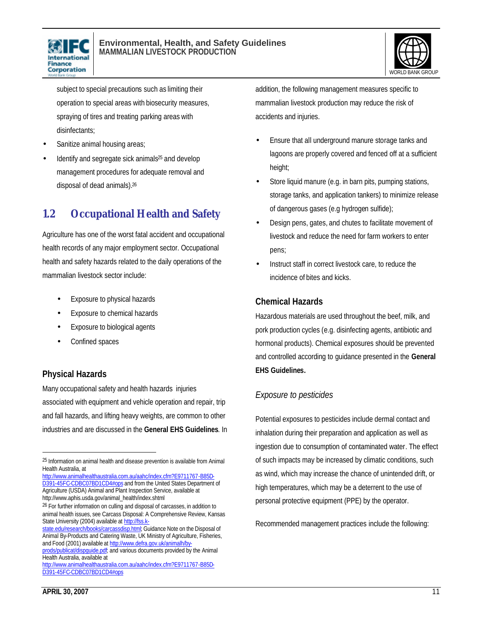



subject to special precautions such as limiting their operation to special areas with biosecurity measures, spraying of tires and treating parking areas with disinfectants;

- Sanitize animal housing areas;
- Identify and segregate sick animals<sup>25</sup> and develop management procedures for adequate removal and disposal of dead animals).<sup>26</sup>

# **1.2 Occupational Health and Safety**

Agriculture has one of the worst fatal accident and occupational health records of any major employment sector. Occupational health and safety hazards related to the daily operations of the mammalian livestock sector include:

- Exposure to physical hazards
- Exposure to chemical hazards
- Exposure to biological agents
- Confined spaces

# **Physical Hazards**

l

Many occupational safety and health hazards injuries associated with equipment and vehicle operation and repair, trip and fall hazards, and lifting heavy weights, are common to other industries and are discussed in the **General EHS Guidelines**. In

http://www.animalhealthaustralia.com.au/aahc/index.cfm?E9711767-B85D-D391-45FC-CDBC07BD1CD4#ops and from the United States Department of Agriculture (USDA) Animal and Plant Inspection Service, available at http://www.aphis.usda.gov/animal\_health/index.shtml

state.edu/research/books/carcassdisp.html; Guidance Note on the Disposal of Animal By-Products and Catering Waste, UK Ministry of Agriculture, Fisheries, and Food (2001) available at http://www.defra.gov.uk/animalh/by-

prods/publicat/dispguide.pdf; and various documents provided by the Animal Health Australia, available at

addition, the following management measures specific to mammalian livestock production may reduce the risk of accidents and injuries.

- Ensure that all underground manure storage tanks and lagoons are properly covered and fenced off at a sufficient height;
- Store liquid manure (e.g. in barn pits, pumping stations, storage tanks, and application tankers) to minimize release of dangerous gases (e.g hydrogen sulfide);
- Design pens, gates, and chutes to facilitate movement of livestock and reduce the need for farm workers to enter pens;
- Instruct staff in correct livestock care, to reduce the incidence of bites and kicks.

# **Chemical Hazards**

Hazardous materials are used throughout the beef, milk, and pork production cycles (e.g. disinfecting agents, antibiotic and hormonal products). Chemical exposures should be prevented and controlled according to guidance presented in the **General EHS Guidelines.**

# *Exposure to pesticides*

Potential exposures to pesticides include dermal contact and inhalation during their preparation and application as well as ingestion due to consumption of contaminated water. The effect of such impacts may be increased by climatic conditions, such as wind, which may increase the chance of unintended drift, or high temperatures, which may be a deterrent to the use of personal protective equipment (PPE) by the operator.

Recommended management practices include the following:

<sup>&</sup>lt;sup>25</sup> Information on animal health and disease prevention is available from Animal Health Australia, at

<sup>26</sup> For further information on culling and disposal of carcasses, in addition to animal health issues, see Carcass Disposal: A Comprehensive Review, Kansas State University (2004) available at http://fss.k-

http://www.animalhealthaustralia.com.au/aahc/index.cfm?E9711767-B85D-D391-45FC-CDBC07BD1CD4#ops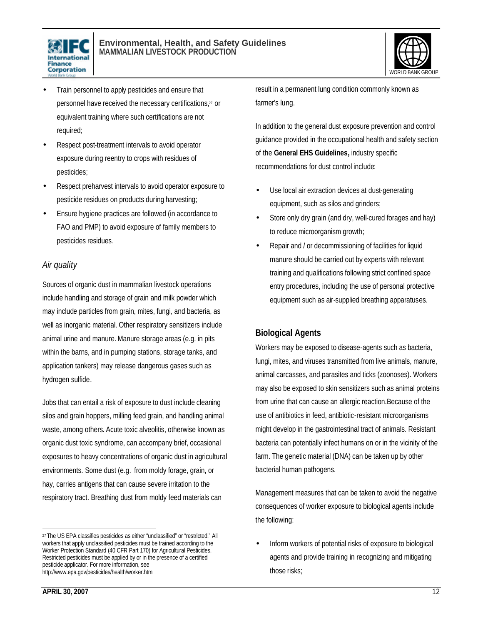



- Train personnel to apply pesticides and ensure that personnel have received the necessary certifications,<sup>27</sup> or equivalent training where such certifications are not required;
- Respect post-treatment intervals to avoid operator exposure during reentry to crops with residues of pesticides;
- Respect preharvest intervals to avoid operator exposure to pesticide residues on products during harvesting;
- Ensure hygiene practices are followed (in accordance to FAO and PMP) to avoid exposure of family members to pesticides residues.

# *Air quality*

Sources of organic dust in mammalian livestock operations include handling and storage of grain and milk powder which may include particles from grain, mites, fungi, and bacteria, as well as inorganic material. Other respiratory sensitizers include animal urine and manure. Manure storage areas (e.g. in pits within the barns, and in pumping stations, storage tanks, and application tankers) may release dangerous gases such as hydrogen sulfide.

Jobs that can entail a risk of exposure to dust include cleaning silos and grain hoppers, milling feed grain, and handling animal waste, among others. Acute toxic alveolitis, otherwise known as organic dust toxic syndrome, can accompany brief, occasional exposures to heavy concentrations of organic dust in agricultural environments. Some dust (e.g. from moldy forage, grain, or hay, carries antigens that can cause severe irritation to the respiratory tract. Breathing dust from moldy feed materials can

result in a permanent lung condition commonly known as farmer's lung.

In addition to the general dust exposure prevention and control guidance provided in the occupational health and safety section of the **General EHS Guidelines,** industry specific recommendations for dust control include:

- Use local air extraction devices at dust-generating equipment, such as silos and grinders;
- Store only dry grain (and dry, well-cured forages and hay) to reduce microorganism growth;
- Repair and / or decommissioning of facilities for liquid manure should be carried out by experts with relevant training and qualifications following strict confined space entry procedures, including the use of personal protective equipment such as air-supplied breathing apparatuses.

# **Biological Agents**

Workers may be exposed to disease-agents such as bacteria, fungi, mites, and viruses transmitted from live animals, manure, animal carcasses, and parasites and ticks (zoonoses). Workers may also be exposed to skin sensitizers such as animal proteins from urine that can cause an allergic reaction.Because of the use of antibiotics in feed, antibiotic-resistant microorganisms might develop in the gastrointestinal tract of animals. Resistant bacteria can potentially infect humans on or in the vicinity of the farm. The genetic material (DNA) can be taken up by other bacterial human pathogens.

Management measures that can be taken to avoid the negative consequences of worker exposure to biological agents include the following:

• Inform workers of potential risks of exposure to biological agents and provide training in recognizing and mitigating those risks;

 $\overline{a}$ <sup>27</sup> The US EPA classifies pesticides as either "unclassified" or "restricted." All workers that apply unclassified pesticides must be trained according to the Worker Protection Standard (40 CFR Part 170) for Agricultural Pesticides. Restricted pesticides must be applied by or in the presence of a certified pesticide applicator. For more information, see http://www.epa.gov/pesticides/health/worker.htm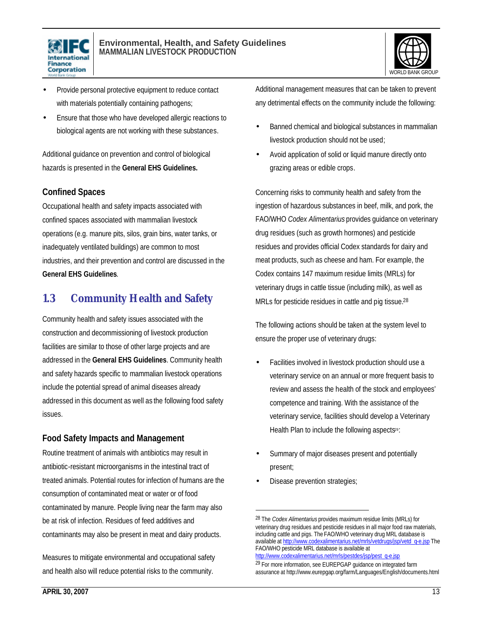



- Provide personal protective equipment to reduce contact with materials potentially containing pathogens;
- Ensure that those who have developed allergic reactions to biological agents are not working with these substances.

Additional guidance on prevention and control of biological hazards is presented in the **General EHS Guidelines.**

# **Confined Spaces**

Occupational health and safety impacts associated with confined spaces associated with mammalian livestock operations (e.g. manure pits, silos, grain bins, water tanks, or inadequately ventilated buildings) are common to most industries, and their prevention and control are discussed in the **General EHS Guidelines**.

# **1.3 Community Health and Safety**

Community health and safety issues associated with the construction and decommissioning of livestock production facilities are similar to those of other large projects and are addressed in the **General EHS Guidelines**. Community health and safety hazards specific to mammalian livestock operations include the potential spread of animal diseases already addressed in this document as well as the following food safety issues.

# **Food Safety Impacts and Management**

Routine treatment of animals with antibiotics may result in antibiotic-resistant microorganisms in the intestinal tract of treated animals. Potential routes for infection of humans are the consumption of contaminated meat or water or of food contaminated by manure. People living near the farm may also be at risk of infection. Residues of feed additives and contaminants may also be present in meat and dairy products.

Measures to mitigate environmental and occupational safety and health also will reduce potential risks to the community.

Additional management measures that can be taken to prevent any detrimental effects on the community include the following:

- Banned chemical and biological substances in mammalian livestock production should not be used;
- Avoid application of solid or liquid manure directly onto grazing areas or edible crops.

Concerning risks to community health and safety from the ingestion of hazardous substances in beef, milk, and pork, the FAO/WHO *Codex Alimentarius* provides guidance on veterinary drug residues (such as growth hormones) and pesticide residues and provides official Codex standards for dairy and meat products, such as cheese and ham. For example, the Codex contains 147 maximum residue limits (MRLs) for veterinary drugs in cattle tissue (including milk), as well as MRLs for pesticide residues in cattle and pig tissue.<sup>28</sup>

The following actions should be taken at the system level to ensure the proper use of veterinary drugs:

- Facilities involved in livestock production should use a veterinary service on an annual or more frequent basis to review and assess the health of the stock and employees' competence and training. With the assistance of the veterinary service, facilities should develop a Veterinary Health Plan to include the following aspects<sup>29</sup>:
- Summary of major diseases present and potentially present;
- Disease prevention strategies;

l

<sup>28</sup> The *Codex Alimentarius* provides maximum residue limits (MRLs) for veterinary drug residues and pesticide residues in all major food raw materials, including cattle and pigs. The FAO/WHO veterinary drug MRL database is available at http://www.codexalimentarius.net/mrls/vetdrugs/jsp/vetd\_q-e.jsp The FAO/WHO pesticide MRL database is available at http://www.codexalimentarius.net/mrls/pestdes/jsp/pest\_q-e.jsp

<sup>&</sup>lt;sup>29</sup> For more information, see EUREPGAP guidance on integrated farm assurance at http://www.eurepgap.org/farm/Languages/English/documents.html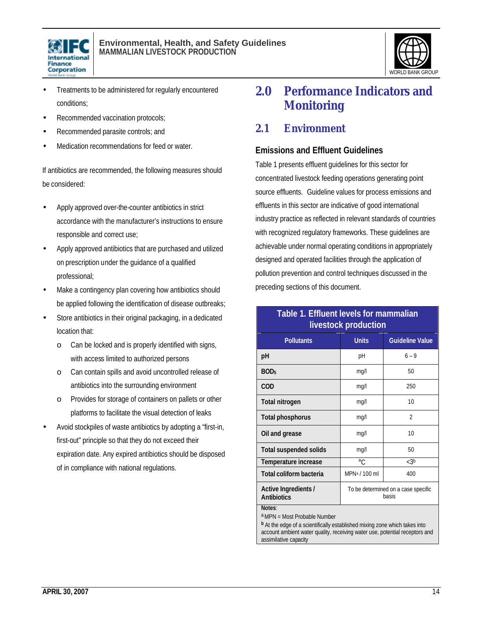



- Treatments to be administered for regularly encountered conditions;
- Recommended vaccination protocols;
- Recommended parasite controls; and
- Medication recommendations for feed or water.

If antibiotics are recommended, the following measures should be considered:

- Apply approved over-the-counter antibiotics in strict accordance with the manufacturer's instructions to ensure responsible and correct use;
- Apply approved antibiotics that are purchased and utilized on prescription under the guidance of a qualified professional;
- Make a contingency plan covering how antibiotics should be applied following the identification of disease outbreaks;
- Store antibiotics in their original packaging, in a dedicated location that:
	- o Can be locked and is properly identified with signs, with access limited to authorized persons
	- o Can contain spills and avoid uncontrolled release of antibiotics into the surrounding environment
	- o Provides for storage of containers on pallets or other platforms to facilitate the visual detection of leaks
- Avoid stockpiles of waste antibiotics by adopting a "first-in, first-out" principle so that they do not exceed their expiration date. Any expired antibiotics should be disposed of in compliance with national regulations.

# **2.0 Performance Indicators and Monitoring**

# **2.1 Environment**

### **Emissions and Effluent Guidelines**

Table 1 presents effluent guidelines for this sector for concentrated livestock feeding operations generating point source effluents. Guideline values for process emissions and effluents in this sector are indicative of good international industry practice as reflected in relevant standards of countries with recognized regulatory frameworks. These guidelines are achievable under normal operating conditions in appropriately designed and operated facilities through the application of pollution prevention and control techniques discussed in the preceding sections of this document.

**Table 1. Effluent levels for mammalian** 

| livestock production                       |                                              |                        |  |  |  |  |
|--------------------------------------------|----------------------------------------------|------------------------|--|--|--|--|
| <b>Pollutants</b>                          | <b>Units</b>                                 | <b>Guideline Value</b> |  |  |  |  |
| рH                                         | рH                                           | $6 - 9$                |  |  |  |  |
| BOD <sub>5</sub>                           | mg/l                                         | 50                     |  |  |  |  |
| COD                                        | mq/l                                         | 250                    |  |  |  |  |
| <b>Total nitrogen</b>                      | mq/l                                         | 10                     |  |  |  |  |
| <b>Total phosphorus</b>                    | mq/l                                         | $\overline{2}$         |  |  |  |  |
| Oil and grease                             | mg/l                                         | 10                     |  |  |  |  |
| <b>Total suspended solids</b>              | mg/l                                         | 50                     |  |  |  |  |
| Temperature increase                       | $\circ$ C                                    | <3b                    |  |  |  |  |
| <b>Total coliform bacteria</b>             | MPN <sup>a</sup> / 100 ml                    | 400                    |  |  |  |  |
| Active Ingredients /<br><b>Antibiotics</b> | To be determined on a case specific<br>basis |                        |  |  |  |  |
| Notes:<br>$2.50011 - 1.4001 - 1.1001$      |                                              |                        |  |  |  |  |

a MPN = Most Probable Number

**b** At the edge of a scientifically established mixing zone which takes into account ambient water quality, receiving water use, potential receptors and assimilative capacity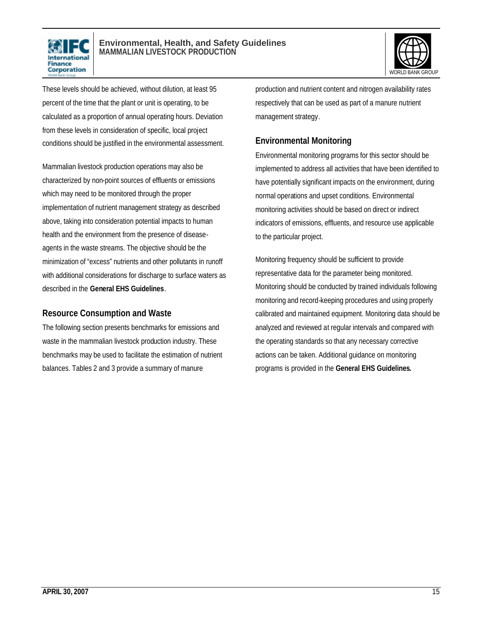



These levels should be achieved, without dilution, at least 95 percent of the time that the plant or unit is operating, to be calculated as a proportion of annual operating hours. Deviation from these levels in consideration of specific, local project conditions should be justified in the environmental assessment.

Mammalian livestock production operations may also be characterized by non-point sources of effluents or emissions which may need to be monitored through the proper implementation of nutrient management strategy as described above, taking into consideration potential impacts to human health and the environment from the presence of diseaseagents in the waste streams. The objective should be the minimization of "excess" nutrients and other pollutants in runoff with additional considerations for discharge to surface waters as described in the **General EHS Guidelines**.

#### **Resource Consumption and Waste**

The following section presents benchmarks for emissions and waste in the mammalian livestock production industry. These benchmarks may be used to facilitate the estimation of nutrient balances. Tables 2 and 3 provide a summary of manure

production and nutrient content and nitrogen availability rates respectively that can be used as part of a manure nutrient management strategy.

#### **Environmental Monitoring**

Environmental monitoring programs for this sector should be implemented to address all activities that have been identified to have potentially significant impacts on the environment, during normal operations and upset conditions. Environmental monitoring activities should be based on direct or indirect indicators of emissions, effluents, and resource use applicable to the particular project.

Monitoring frequency should be sufficient to provide representative data for the parameter being monitored. Monitoring should be conducted by trained individuals following monitoring and record-keeping procedures and using properly calibrated and maintained equipment. Monitoring data should be analyzed and reviewed at regular intervals and compared with the operating standards so that any necessary corrective actions can be taken. Additional guidance on monitoring programs is provided in the **General EHS Guidelines.**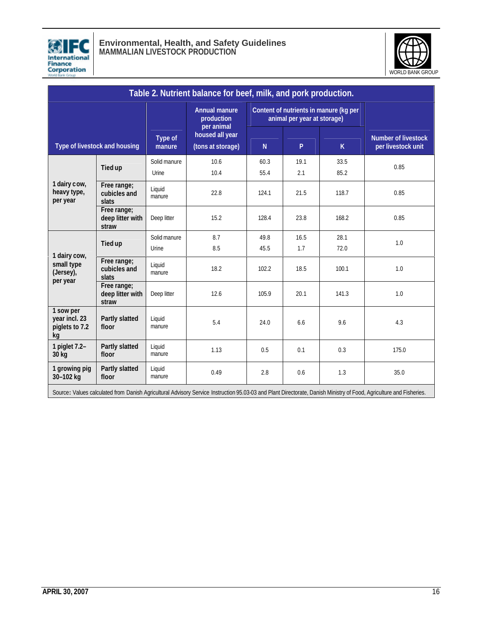



| Table 2. Nutrient balance for beef, milk, and pork production. |                                          |                       |                                                                                          |                                                                       |             |              |                                                  |  |
|----------------------------------------------------------------|------------------------------------------|-----------------------|------------------------------------------------------------------------------------------|-----------------------------------------------------------------------|-------------|--------------|--------------------------------------------------|--|
| Type of livestock and housing                                  |                                          | Type of<br>manure     | <b>Annual manure</b><br>production<br>per animal<br>housed all year<br>(tons at storage) | Content of nutrients in manure (kg per<br>animal per year at storage) |             |              |                                                  |  |
|                                                                |                                          |                       |                                                                                          | ${\sf N}$                                                             | P           | $\mathsf{K}$ | <b>Number of livestock</b><br>per livestock unit |  |
| 1 dairy cow,<br>heavy type,<br>per year                        | Tied up                                  | Solid manure<br>Urine | 10.6<br>10.4                                                                             | 60.3<br>55.4                                                          | 19.1<br>2.1 | 33.5<br>85.2 | 0.85                                             |  |
|                                                                | Free range;<br>cubicles and<br>slats     | Liquid<br>manure      | 22.8                                                                                     | 124.1                                                                 | 21.5        | 118.7        | 0.85                                             |  |
|                                                                | Free range;<br>deep litter with<br>straw | Deep litter           | 15.2                                                                                     | 128.4                                                                 | 23.8        | 168.2        | 0.85                                             |  |
| 1 dairy cow,<br>small type<br>(Jersey),<br>per year            | Tied up                                  | Solid manure<br>Urine | 8.7<br>8.5                                                                               | 49.8<br>45.5                                                          | 16.5<br>1.7 | 28.1<br>72.0 | 1.0                                              |  |
|                                                                | Free range;<br>cubicles and<br>slats     | Liquid<br>manure      | 18.2                                                                                     | 102.2                                                                 | 18.5        | 100.1        | 1.0                                              |  |
|                                                                | Free range;<br>deep litter with<br>straw | Deep litter           | 12.6                                                                                     | 105.9                                                                 | 20.1        | 141.3        | 1.0                                              |  |
| 1 sow per<br>year incl. 23<br>piglets to 7.2<br>kq             | Partly slatted<br>floor                  | Liquid<br>manure      | 5.4                                                                                      | 24.0                                                                  | 6.6         | 9.6          | 4.3                                              |  |
| 1 piglet 7.2-<br>30 kg                                         | Partly slatted<br>floor                  | Liquid<br>manure      | 1.13                                                                                     | 0.5                                                                   | 0.1         | 0.3          | 175.0                                            |  |
| 1 growing pig<br>30-102 kg                                     | Partly slatted<br>floor                  | Liquid<br>manure      | 0.49                                                                                     | 2.8                                                                   | 0.6         | 1.3          | 35.0                                             |  |

Source**:** Values calculated from Danish Agricultural Advisory Service Instruction 95.03-03 and Plant Directorate, Danish Ministry of Food, Agriculture and Fisheries.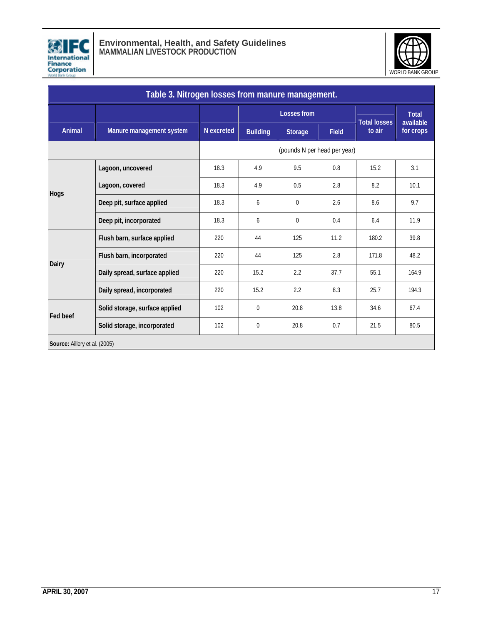



| Table 3. Nitrogen losses from manure management. |                                |                              |                    |                |              |                     |                        |  |
|--------------------------------------------------|--------------------------------|------------------------------|--------------------|----------------|--------------|---------------------|------------------------|--|
|                                                  |                                |                              | <b>Losses from</b> |                |              | <b>Total losses</b> | <b>Total</b>           |  |
| <b>Animal</b>                                    | Manure management system       | N excreted                   | <b>Building</b>    | <b>Storage</b> | <b>Field</b> | to air              | available<br>for crops |  |
|                                                  |                                | (pounds N per head per year) |                    |                |              |                     |                        |  |
| Hogs                                             | Lagoon, uncovered              | 18.3                         | 4.9                | 9.5            | 0.8          | 15.2                | 3.1                    |  |
|                                                  | Lagoon, covered                | 18.3                         | 4.9                | 0.5            | 2.8          | 8.2                 | 10.1                   |  |
|                                                  | Deep pit, surface applied      | 18.3                         | 6                  | $\mathbf{0}$   | 2.6          | 8.6                 | 9.7                    |  |
|                                                  | Deep pit, incorporated         | 18.3                         | 6                  | $\mathbf{0}$   | 0.4          | 6.4                 | 11.9                   |  |
| Dairy                                            | Flush barn, surface applied    | 220                          | 44                 | 125            | 11.2         | 180.2               | 39.8                   |  |
|                                                  | Flush barn, incorporated       | 220                          | 44                 | 125            | 2.8          | 171.8               | 48.2                   |  |
|                                                  | Daily spread, surface applied  | 220                          | 15.2               | 2.2            | 37.7         | 55.1                | 164.9                  |  |
|                                                  | Daily spread, incorporated     | 220                          | 15.2               | 2.2            | 8.3          | 25.7                | 194.3                  |  |
| <b>Fed beef</b>                                  | Solid storage, surface applied | 102                          | $\Omega$           | 20.8           | 13.8         | 34.6                | 67.4                   |  |
|                                                  | Solid storage, incorporated    | 102                          | 0                  | 20.8           | 0.7          | 21.5                | 80.5                   |  |
| Source: Aillery et al. (2005)                    |                                |                              |                    |                |              |                     |                        |  |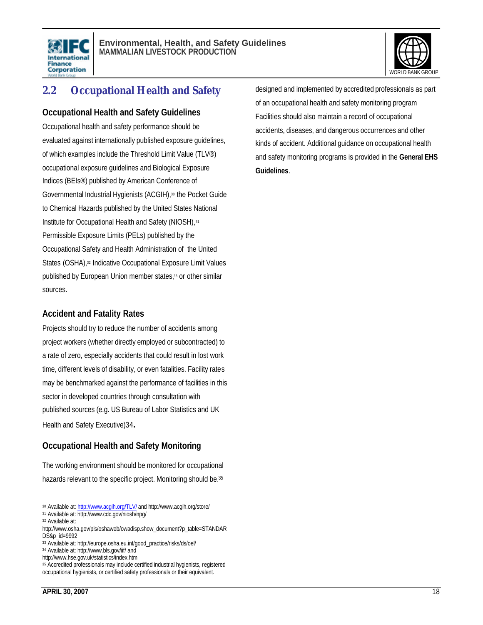



# **2.2 Occupational Health and Safety**

#### **Occupational Health and Safety Guidelines**

Occupational health and safety performance should be evaluated against internationally published exposure guidelines, of which examples include the Threshold Limit Value (TLV®) occupational exposure guidelines and Biological Exposure Indices (BEIs®) published by American Conference of Governmental Industrial Hygienists (ACGIH),<sup>30</sup> the Pocket Guide to Chemical Hazards published by the United States National Institute for Occupational Health and Safety (NIOSH), 31 Permissible Exposure Limits (PELs) published by the Occupational Safety and Health Administration of the United States (OSHA),<sup>32</sup> Indicative Occupational Exposure Limit Values published by European Union member states,<sup>33</sup> or other similar sources.

#### **Accident and Fatality Rates**

Projects should try to reduce the number of accidents among project workers (whether directly employed or subcontracted) to a rate of zero, especially accidents that could result in lost work time, different levels of disability, or even fatalities. Facility rates may be benchmarked against the performance of facilities in this sector in developed countries through consultation with published sources (e.g. US Bureau of Labor Statistics and UK Health and Safety Executive)34**.** 

# **Occupational Health and Safety Monitoring**

The working environment should be monitored for occupational hazards relevant to the specific project. Monitoring should be.<sup>35</sup>

 $\overline{a}$ 

**APRIL 30, 2007** 18

designed and implemented by accredited professionals as part of an occupational health and safety monitoring program Facilities should also maintain a record of occupational accidents, diseases, and dangerous occurrences and other kinds of accident. Additional guidance on occupational health and safety monitoring programs is provided in the **General EHS Guidelines**.

<sup>30</sup> Available at: http://www.acgih.org/TLV/ and http://www.acgih.org/store/

<sup>31</sup> Available at: http://www.cdc.gov/niosh/npg/

<sup>32</sup> Available at:

http://www.osha.gov/pls/oshaweb/owadisp.show\_document?p\_table=STANDAR DS&p\_id=9992

<sup>33</sup> Available at: http://europe.osha.eu.int/good\_practice/risks/ds/oel/

<sup>34</sup> Available at: http://www.bls.gov/iif/ and

http://www.hse.gov.uk/statistics/index.htm

<sup>&</sup>lt;sup>35</sup> Accredited professionals may include certified industrial hygienists, registered occupational hygienists, or certified safety professionals or their equivalent.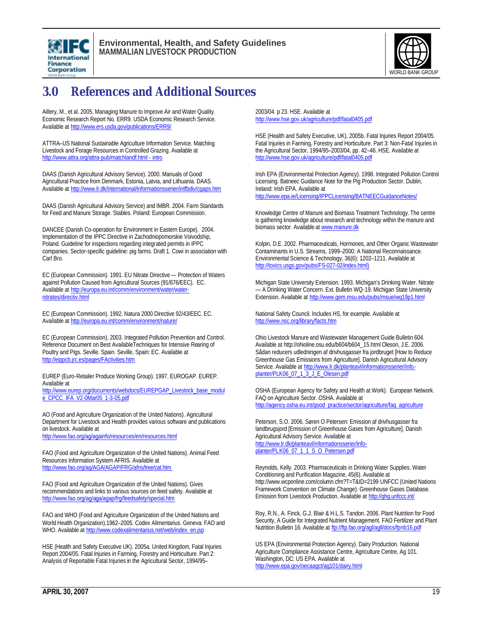



# **3.0 References and Additional Sources**

Aillery, M., et al. 2005. Managing Manure to Improve Air and Water Quality. Economic Research Report No. ERR9. USDA Economic Research Service. Available at http://www.ers.usda.gov/publications/ERR9/

ATTRA–US National Sustainable Agriculture Information Service. Matching Livestock and Forage Resources in Controlled Grazing. Available at http://www.attra.org/attra-pub/matchlandf.html - intro

DAAS (Danish Agricultural Advisory Service). 2000. Manuals of Good Agricultural Practice from Denmark, Estonia, Latvia, and Lithuania. DAAS. Available at http://www.lr.dk/international/informationsserier/intfbdiv/cgaps.htm

DAAS (Danish Agricultural Advisory Service) and IMBR. 2004. Farm Standards for Feed and Manure Storage. Stables. Poland: European Commission.

DANCEE (Danish Co-operation for Environment in Eastern Europe). 2004. Implementation of the IPPC Directive in Zachodniopomorskie Voivodship, Poland. Guideline for inspections regarding integrated permits in IPPC companies. Sector-specific guideline: pig farms. Draft 1. Cowi in association with Carl Bro.

EC (European Commission). 1991. EU Nitrate Directive — Protection of Waters against Pollution Caused from Agricultural Sources (91/676/EEC). EC. Available at http://europa.eu.int/comm/environment/water/waternitrates/directiv.html

EC (European Commission). 1992. Natura 2000 Directive 92/43/EEC. EC. Available at http://europa.eu.int/comm/environment/nature/

EC (European Commission). 2003. Integrated Pollution Prevention and Control. Reference Document on Best AvailableTechniques for Intensive Rearing of Poultry and Pigs. Seville. Spain. Seville, Spain: EC. Available at http://eippcb.jrc.es/pages/FActivities.htm

EUREP (Euro-Retailer Produce Working Group). 1997. EUROGAP. EUREP. Available at

http://www.eurep.org/documents/webdocs/EUREPGAP\_Livestock\_base\_modul e\_CPCC\_IFA\_V2-0Mar05\_1-3-05.pdf

AO (Food and Agriculture Organization of the United Nations). Agricultural Department for Livestock and Health provides various software and publications on livestock. Available at

http://www.fao.org/ag/againfo/resources/en/resources.html

FAO (Food and Agriculture Organization of the United Nations). Animal Feed Resources Information System AFRIS. Available at http://www.fao.org/ag/AGA/AGAP/FRG/afris/tree/cat.htm

FAO (Food and Agriculture Organization of the United Nations). Gives recommendations and links to various sources on feed safety. Available at http://www.fao.org/ag/aga/agap/frg/feedsafety/special.htm

FAO and WHO (Food and Agriculture Organization of the United Nations and World Health Organization).1962–2005. Codex Alimentarius. Geneva: FAO and WHO. Available at http://www.codexalimentarius.net/web/index\_en.jsp

HSE (Health and Safety Executive UK). 2005a. United Kingdom, Fatal Injuries Report 2004/05. Fatal Injuries in Farming, Forestry and Horticulture. Part 2: Analysis of Reportable Fatal Injuries in the Agricultural Sector, 1994/95–

2003/04. p 23. HSE. Available at http://www.hse.gov.uk/agriculture/pdf/fatal0405.pdf

HSE (Health and Safety Executive, UK). 2005b. Fatal Injuries Report 2004/05. Fatal Injuries in Farming, Forestry and Horticulture. Part 3: Non-Fatal Injuries in the Agricultural Sector, 1994/95–2003/04, pp. 42–46. HSE. Available at http://www.hse.gov.uk/agriculture/pdf/fatal0405.pdf

Irish EPA (Environmental Protection Agency). 1998. Integrated Pollution Control Licensing. Batneec Guidance Note for the Pig Production Sector. Dublin, Ireland: Irish EPA. Available at http://www.epa.ie/Licensing/IPPCLicensing/BATNEECGuidanceNotes/

Knowledge Centre of Manure and Biomass Treatment Technology. The centre is gathering knowledge about research and technology within the manure and biomass sector. Available at www.manure.dk

Kolpin, D.E. 2002. Pharmaceuticals, Hormones, and Other Organic Wastewater Contaminants in U.S. Streams, 1999–2000: A National Reconnaissance. Environmental Science & Technology, 36(6): 1202–1211. Available at http://toxics.usgs.gov/pubs/FS-027-02/index.html)

Michigan State University Extension. 1993. Michigan's Drinking Water. Nitrate — A Drinking Water Concern. Ext. Bulletin WQ-19. Michigan State University Extension. Available at http://www.gem.msu.edu/pubs/msue/wq19p1.html

National Safety Council. Includes HS, for example. Available at http://www.nsc.org/library/facts.htm

Ohio Livestock Manure and Wastewater Management Guide Bulletin 604. Available at http://ohioline.osu.edu/b604/b604\_15.html Oleson, J.E. 2006. Sådan reducers udledningen af drivhusgasser fra jordbruget [How to Reduce Greenhouse Gas Emissions from Agriculture]. Danish Agricultural Advisory Service. Available at http://www.lr.dk/planteavl/informationsserier/infoplanter/PLK06\_07\_1\_3\_J\_E\_Olesen.pdf

OSHA (European Agency for Safety and Health at Work). European Network. FAQ on Agriculture Sector. OSHA. Available at http://agency.osha.eu.int/good\_practice/sector/agriculture/faq\_agriculture

Peterson, S.O. 2006. Søren O Petersen: Emission af drivhusgasser fra landbrugsjord [Emission of Greenhouse Gases from Agriculture]. Danish Agricultural Advisory Service. Available at http://www.lr.dk/planteavl/informationsserier/infoplanter/PLK06\_07\_1\_1\_S\_O\_Petersen.pdf

Reynolds, Kelly. 2003. Pharmaceuticals in Drinking Water Supplies. Water Conditioning and Purification Magazine, 45(6). Available at http://www.wcponline.com/column.cfm?T=T&ID=2199 UNFCC (United Nations Framework Convention on Climate Change). Greenhouse Gases Database. Emission from Livestock Production. Available at http://ghg.unfccc.int/

Roy, R.N., A. Finck, G.J. Blair & H.L.S. Tandon. 2006. Plant Nutrition for Food Security, A Guide for Integrated Nutrient Management. FAO Fertilizer and Plant Nutrition Bulletin 16. Available at ftp://ftp.fao.org/agl/agll/docs/fpnb16.pdf

US EPA (Environmental Protection Agency). Dairy Production. National Agriculture Compliance Assistance Centre, Agriculture Centre, Ag 101. Washington, DC: US EPA. Available at http://www.epa.gov/oecaagct/ag101/dairy.html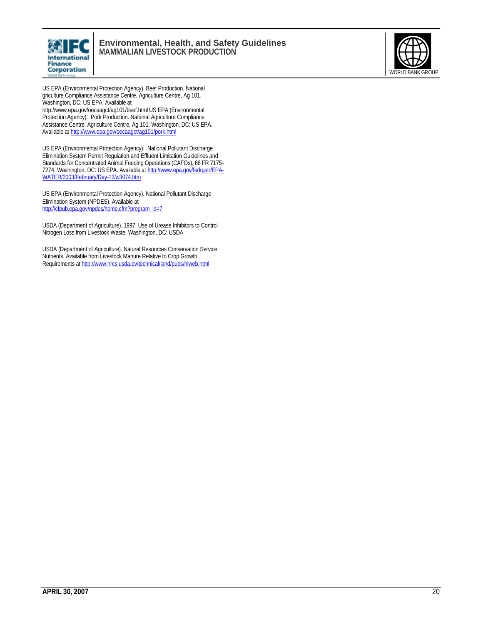

#### **Environmental, Health, and Safety Guidelines MAMMALIAN LIVESTOCK PRODUCTION**



US EPA (Environmental Protection Agency). Beef Production. National griculture Compliance Assistance Centre, Agriculture Centre, Ag 101. Washington, DC: US EPA. Available at http://www.epa.gov/oecaagct/ag101/beef.html US EPA (Environmental Protection Agency). Pork Production. National Agriculture Compliance Assistance Centre, Agriculture Centre, Ag 101. Washington, DC: US EPA. Available at http://www.epa.gov/oecaagct/ag101/pork.html

US EPA (Environmental Protection Agency). National Pollutant Discharge Elimination System Permit Regulation and Effluent Limitation Guidelines and Standards for Concentrated Animal Feeding Operations (CAFOs), 68 FR 7175- 7274. Washington, DC: US EPA. Available at http://www.epa.gov/fedrgstr/EPA-WATER/2003/February/Day-12/w3074.htm

US EPA (Environmental Protection Agency). National Pollutant Discharge Elimination System (NPDES). Available at http://cfpub.epa.gov/npdes/home.cfm?program\_id=7

USDA (Department of Agriculture). 1997. Use of Urease Inhibitors to Control Nitrogen Loss from Livestock Waste. Washington, DC: USDA.

USDA (Department of Agriculture). Natural Resources Conservation Service Nutrients. Available from Livestock Manure Relative to Crop Growth Requirements at http://www.nrcs.usda.ov/technical/land/pubs/nlweb.html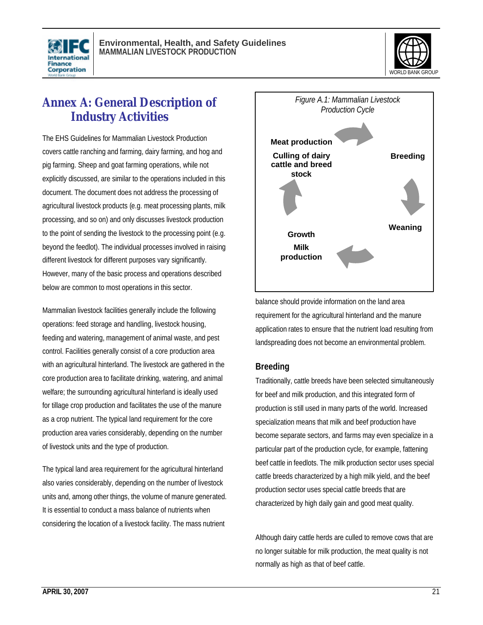



# **Annex A: General Description of Industry Activities**

The EHS Guidelines for Mammalian Livestock Production covers cattle ranching and farming, dairy farming, and hog and pig farming. Sheep and goat farming operations, while not explicitly discussed, are similar to the operations included in this document. The document does not address the processing of agricultural livestock products (e.g. meat processing plants, milk processing, and so on) and only discusses livestock production to the point of sending the livestock to the processing point (e.g. beyond the feedlot). The individual processes involved in raising different livestock for different purposes vary significantly. However, many of the basic process and operations described below are common to most operations in this sector.

Mammalian livestock facilities generally include the following operations: feed storage and handling, livestock housing, feeding and watering, management of animal waste, and pest control. Facilities generally consist of a core production area with an agricultural hinterland. The livestock are gathered in the core production area to facilitate drinking, watering, and animal welfare; the surrounding agricultural hinterland is ideally used for tillage crop production and facilitates the use of the manure as a crop nutrient. The typical land requirement for the core production area varies considerably, depending on the number of livestock units and the type of production.

The typical land area requirement for the agricultural hinterland also varies considerably, depending on the number of livestock units and, among other things, the volume of manure generated. It is essential to conduct a mass balance of nutrients when considering the location of a livestock facility. The mass nutrient



balance should provide information on the land area requirement for the agricultural hinterland and the manure application rates to ensure that the nutrient load resulting from landspreading does not become an environmental problem.

# **Breeding**

Traditionally, cattle breeds have been selected simultaneously for beef and milk production, and this integrated form of production is still used in many parts of the world. Increased specialization means that milk and beef production have become separate sectors, and farms may even specialize in a particular part of the production cycle, for example, fattening beef cattle in feedlots. The milk production sector uses special cattle breeds characterized by a high milk yield, and the beef production sector uses special cattle breeds that are characterized by high daily gain and good meat quality.

Although dairy cattle herds are culled to remove cows that are no longer suitable for milk production, the meat quality is not normally as high as that of beef cattle.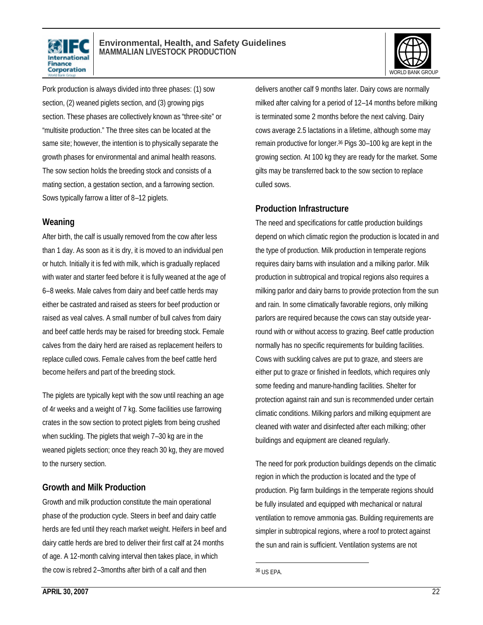



Pork production is always divided into three phases: (1) sow section, (2) weaned piglets section, and (3) growing pigs section. These phases are collectively known as "three-site" or "multisite production." The three sites can be located at the same site; however, the intention is to physically separate the growth phases for environmental and animal health reasons. The sow section holds the breeding stock and consists of a mating section, a gestation section, and a farrowing section. Sows typically farrow a litter of 8–12 piglets.

#### **Weaning**

After birth, the calf is usually removed from the cow after less than 1 day. As soon as it is dry, it is moved to an individual pen or hutch. Initially it is fed with milk, which is gradually replaced with water and starter feed before it is fully weaned at the age of 6–8 weeks. Male calves from dairy and beef cattle herds may either be castrated and raised as steers for beef production or raised as veal calves. A small number of bull calves from dairy and beef cattle herds may be raised for breeding stock. Female calves from the dairy herd are raised as replacement heifers to replace culled cows. Female calves from the beef cattle herd become heifers and part of the breeding stock.

The piglets are typically kept with the sow until reaching an age of 4r weeks and a weight of 7 kg. Some facilities use farrowing crates in the sow section to protect piglets from being crushed when suckling. The piglets that weigh 7–30 kg are in the weaned piglets section; once they reach 30 kg, they are moved to the nursery section.

# **Growth and Milk Production**

Growth and milk production constitute the main operational phase of the production cycle. Steers in beef and dairy cattle herds are fed until they reach market weight. Heifers in beef and dairy cattle herds are bred to deliver their first calf at 24 months of age. A 12-month calving interval then takes place, in which the cow is rebred 2–3months after birth of a calf and then

delivers another calf 9 months later. Dairy cows are normally milked after calving for a period of 12–14 months before milking is terminated some 2 months before the next calving. Dairy cows average 2.5 lactations in a lifetime, although some may remain productive for longer.36 Pigs 30–100 kg are kept in the growing section. At 100 kg they are ready for the market. Some gilts may be transferred back to the sow section to replace culled sows.

### **Production Infrastructure**

The need and specifications for cattle production buildings depend on which climatic region the production is located in and the type of production. Milk production in temperate regions requires dairy barns with insulation and a milking parlor. Milk production in subtropical and tropical regions also requires a milking parlor and dairy barns to provide protection from the sun and rain. In some climatically favorable regions, only milking parlors are required because the cows can stay outside yearround with or without access to grazing. Beef cattle production normally has no specific requirements for building facilities. Cows with suckling calves are put to graze, and steers are either put to graze or finished in feedlots, which requires only some feeding and manure-handling facilities. Shelter for protection against rain and sun is recommended under certain climatic conditions. Milking parlors and milking equipment are cleaned with water and disinfected after each milking; other buildings and equipment are cleaned regularly.

The need for pork production buildings depends on the climatic region in which the production is located and the type of production. Pig farm buildings in the temperate regions should be fully insulated and equipped with mechanical or natural ventilation to remove ammonia gas. Building requirements are simpler in subtropical regions, where a roof to protect against the sun and rain is sufficient. Ventilation systems are not

<sup>36</sup> US EPA.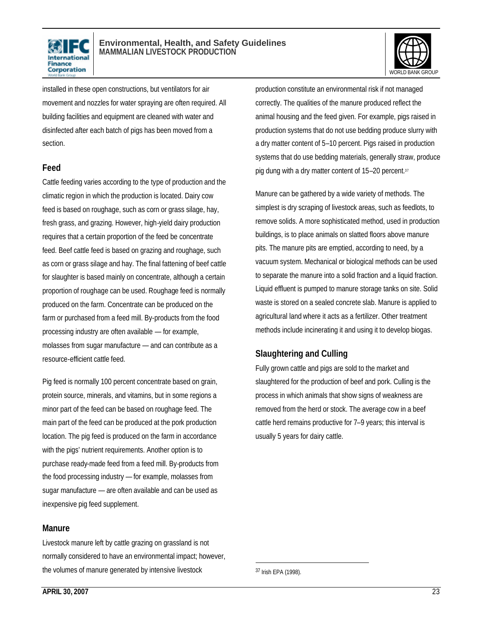



installed in these open constructions, but ventilators for air movement and nozzles for water spraying are often required. All building facilities and equipment are cleaned with water and disinfected after each batch of pigs has been moved from a section.

#### **Feed**

Cattle feeding varies according to the type of production and the climatic region in which the production is located. Dairy cow feed is based on roughage, such as corn or grass silage, hay, fresh grass, and grazing. However, high-yield dairy production requires that a certain proportion of the feed be concentrate feed. Beef cattle feed is based on grazing and roughage, such as corn or grass silage and hay. The final fattening of beef cattle for slaughter is based mainly on concentrate, although a certain proportion of roughage can be used. Roughage feed is normally produced on the farm. Concentrate can be produced on the farm or purchased from a feed mill. By-products from the food processing industry are often available — for example, molasses from sugar manufacture — and can contribute as a resource-efficient cattle feed.

Pig feed is normally 100 percent concentrate based on grain, protein source, minerals, and vitamins, but in some regions a minor part of the feed can be based on roughage feed. The main part of the feed can be produced at the pork production location. The pig feed is produced on the farm in accordance with the pigs' nutrient requirements. Another option is to purchase ready-made feed from a feed mill. By-products from the food processing industry — for example, molasses from sugar manufacture — are often available and can be used as inexpensive pig feed supplement.

#### **Manure**

Livestock manure left by cattle grazing on grassland is not normally considered to have an environmental impact; however, the volumes of manure generated by intensive livestock

production constitute an environmental risk if not managed correctly. The qualities of the manure produced reflect the animal housing and the feed given. For example, pigs raised in production systems that do not use bedding produce slurry with a dry matter content of 5–10 percent. Pigs raised in production systems that do use bedding materials, generally straw, produce pig dung with a dry matter content of 15–20 percent.<sup>37</sup>

Manure can be gathered by a wide variety of methods. The simplest is dry scraping of livestock areas, such as feedlots, to remove solids. A more sophisticated method, used in production buildings, is to place animals on slatted floors above manure pits. The manure pits are emptied, according to need, by a vacuum system. Mechanical or biological methods can be used to separate the manure into a solid fraction and a liquid fraction. Liquid effluent is pumped to manure storage tanks on site. Solid waste is stored on a sealed concrete slab. Manure is applied to agricultural land where it acts as a fertilizer. Other treatment methods include incinerating it and using it to develop biogas.

# **Slaughtering and Culling**

Fully grown cattle and pigs are sold to the market and slaughtered for the production of beef and pork. Culling is the process in which animals that show signs of weakness are removed from the herd or stock. The average cow in a beef cattle herd remains productive for 7–9 years; this interval is usually 5 years for dairy cattle.

<sup>37</sup> Irish EPA (1998).